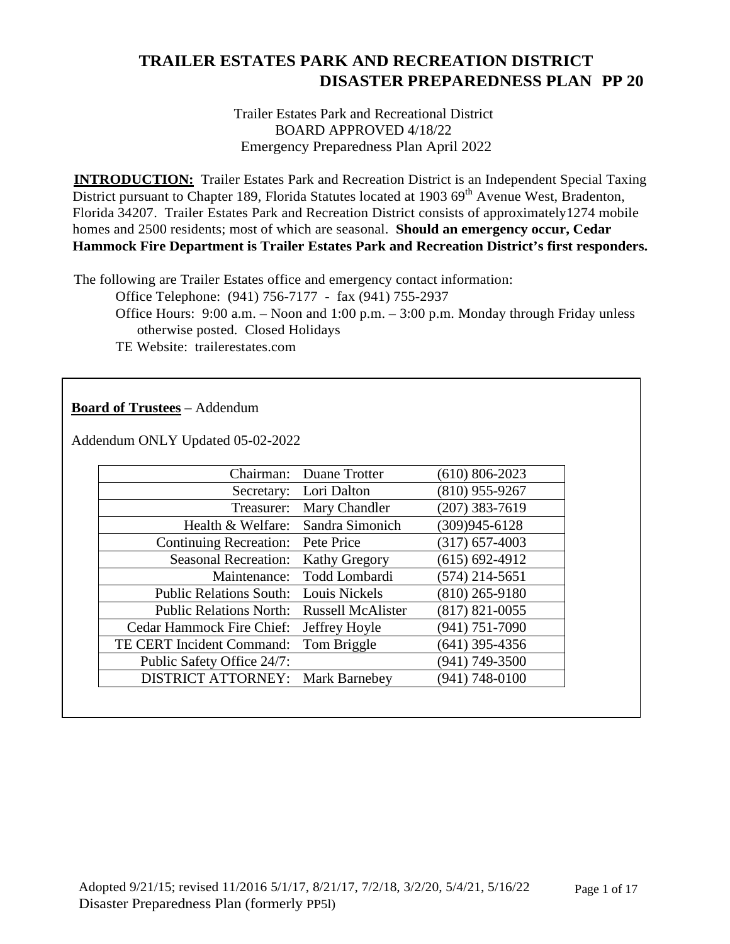Trailer Estates Park and Recreational District BOARD APPROVED 4/18/22 Emergency Preparedness Plan April 2022

**INTRODUCTION:** Trailer Estates Park and Recreation District is an Independent Special Taxing District pursuant to Chapter 189, Florida Statutes located at 1903 69<sup>th</sup> Avenue West, Bradenton, Florida 34207. Trailer Estates Park and Recreation District consists of approximately1274 mobile homes and 2500 residents; most of which are seasonal. **Should an emergency occur, Cedar Hammock Fire Department is Trailer Estates Park and Recreation District's first responders.**

The following are Trailer Estates office and emergency contact information:

Office Telephone: (941) 756-7177 - fax (941) 755-2937

Office Hours: 9:00 a.m. – Noon and 1:00 p.m. – 3:00 p.m. Monday through Friday unless otherwise posted. Closed Holidays

TE Website: trailerestates.com

#### **Board of Trustees** – Addendum

Addendum ONLY Updated 05-02-2022

| Chairman:                      | Duane Trotter            | $(610)$ 806-2023   |
|--------------------------------|--------------------------|--------------------|
| Secretary:                     | Lori Dalton              | $(810)$ 955-9267   |
| Treasurer:                     | Mary Chandler            | $(207)$ 383-7619   |
| Health & Welfare:              | Sandra Simonich          | $(309)945 - 6128$  |
| <b>Continuing Recreation:</b>  | Pete Price               | $(317) 657 - 4003$ |
| <b>Seasonal Recreation:</b>    | <b>Kathy Gregory</b>     | $(615) 692 - 4912$ |
| Maintenance:                   | Todd Lombardi            | $(574)$ 214-5651   |
| <b>Public Relations South:</b> | Louis Nickels            | $(810)$ 265-9180   |
| <b>Public Relations North:</b> | <b>Russell McAlister</b> | $(817) 821 - 0055$ |
| Cedar Hammock Fire Chief:      | Jeffrey Hoyle            | (941) 751-7090     |
| TE CERT Incident Command:      | Tom Briggle              | $(641)$ 395-4356   |
| Public Safety Office 24/7:     |                          | $(941) 749 - 3500$ |
| <b>DISTRICT ATTORNEY:</b>      | <b>Mark Barnebey</b>     | $(941) 748 - 0100$ |
|                                |                          |                    |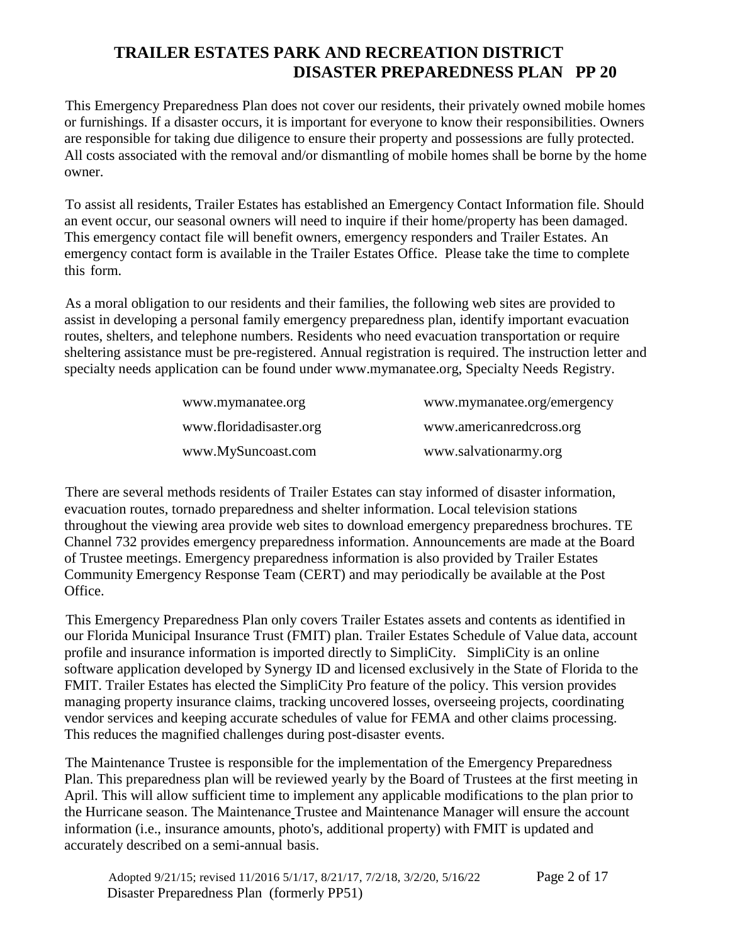This Emergency Preparedness Plan does not cover our residents, their privately owned mobile homes or furnishings. If a disaster occurs, it is important for everyone to know their responsibilities. Owners are responsible for taking due diligence to ensure their property and possessions are fully protected. All costs associated with the removal and/or dismantling of mobile homes shall be borne by the home owner.

To assist all residents, Trailer Estates has established an Emergency Contact Information file. Should an event occur, our seasonal owners will need to inquire if their home/property has been damaged. This emergency contact file will benefit owners, emergency responders and Trailer Estates. An emergency contact form is available in the Trailer Estates Office. Please take the time to complete this form.

As a moral obligation to our residents and their families, the following web sites are provided to assist in developing a personal family emergency preparedness plan, identify important evacuation routes, shelters, and telephone numbers. Residents who need evacuation transportation or require sheltering assistance must be pre-registered. Annual registration is required. The instruction letter and specialty needs application can be found under [www.mymanatee.org,](http://www.mymanatee.org/) Specialty Needs Registry.

| www.mymanatee.org       | www.mymanatee.org/emergency |
|-------------------------|-----------------------------|
| www.floridadisaster.org | www.americanredcross.org    |
| www.MySuncoast.com      | www.salvationarmy.org       |

There are several methods residents of Trailer Estates can stay informed of disaster information, evacuation routes, tornado preparedness and shelter information. Local television stations throughout the viewing area provide web sites to download emergency preparedness brochures. TE Channel 732 provides emergency preparedness information. Announcements are made at the Board of Trustee meetings. Emergency preparedness information is also provided by Trailer Estates Community Emergency Response Team (CERT) and may periodically be available at the Post Office.

This Emergency Preparedness Plan only covers Trailer Estates assets and contents as identified in our Florida Municipal Insurance Trust (FMIT) plan. Trailer Estates Schedule of Value data, account profile and insurance information is imported directly to SimpliCity. SimpliCity is an online software application developed by Synergy ID and licensed exclusively in the State of Florida to the FMIT. Trailer Estates has elected the SimpliCity Pro feature of the policy. This version provides managing property insurance claims, tracking uncovered losses, overseeing projects, coordinating vendor services and keeping accurate schedules of value for FEMA and other claims processing. This reduces the magnified challenges during post-disaster events.

The Maintenance Trustee is responsible for the implementation of the Emergency Preparedness Plan. This preparedness plan will be reviewed yearly by the Board of Trustees at the first meeting in April. This will allow sufficient time to implement any applicable modifications to the plan prior to the Hurricane season. The Maintenance Trustee and Maintenance Manager will ensure the account information (i.e., insurance amounts, photo's, additional property) with FMIT is updated and accurately described on a semi-annual basis.

Adopted 9/21/15; revised 11/2016 5/1/17, 8/21/17, 7/2/18, 3/2/20, 5/16/22 Page 2 of 17 Disaster Preparedness Plan (formerly PP51)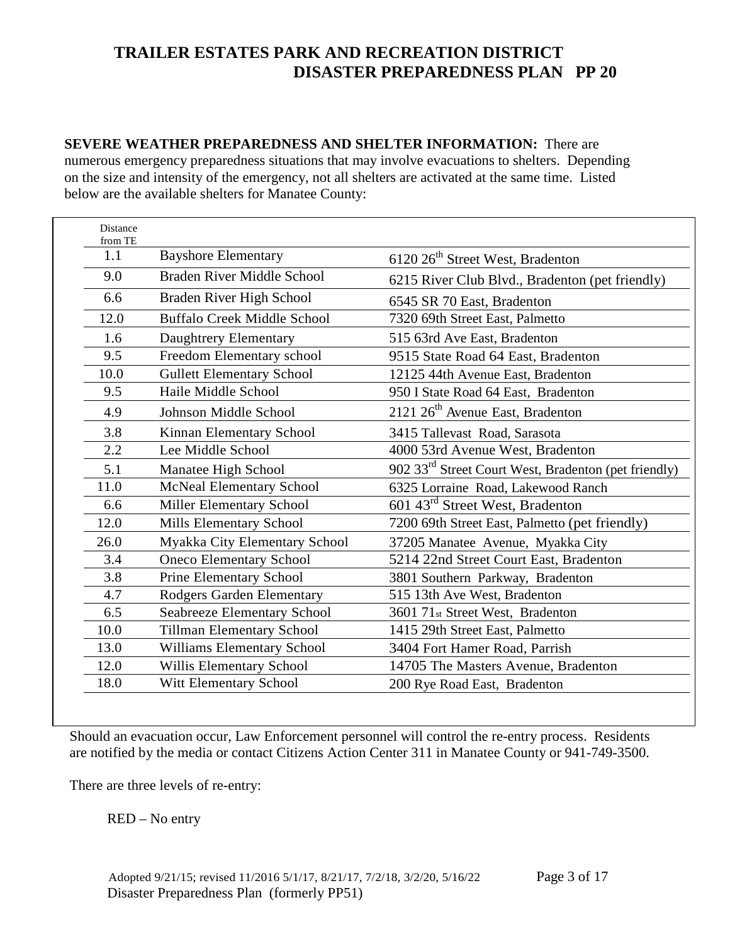#### **SEVERE WEATHER PREPAREDNESS AND SHELTER INFORMATION:** There are numerous emergency preparedness situations that may involve evacuations to shelters. Depending on the size and intensity of the emergency, not all shelters are activated at the same time. Listed below are the available shelters for Manatee County:

| Distance<br>from TE |                                    |                                                                  |
|---------------------|------------------------------------|------------------------------------------------------------------|
| 1.1                 | <b>Bayshore Elementary</b>         | 6120 26 <sup>th</sup> Street West, Bradenton                     |
| 9.0                 | Braden River Middle School         | 6215 River Club Blvd., Bradenton (pet friendly)                  |
| 6.6                 | Braden River High School           | 6545 SR 70 East, Bradenton                                       |
| 12.0                | <b>Buffalo Creek Middle School</b> | 7320 69th Street East, Palmetto                                  |
| 1.6                 | Daughtrery Elementary              | 515 63rd Ave East, Bradenton                                     |
| 9.5                 | Freedom Elementary school          | 9515 State Road 64 East, Bradenton                               |
| 10.0                | <b>Gullett Elementary School</b>   | 12125 44th Avenue East, Bradenton                                |
| 9.5                 | Haile Middle School                | 950 I State Road 64 East, Bradenton                              |
| 4.9                 | Johnson Middle School              | 2121 26 <sup>th</sup> Avenue East, Bradenton                     |
| 3.8                 | Kinnan Elementary School           | 3415 Tallevast Road, Sarasota                                    |
| 2.2                 | Lee Middle School                  | 4000 53rd Avenue West, Bradenton                                 |
| 5.1                 | Manatee High School                | 902 33 <sup>rd</sup> Street Court West, Bradenton (pet friendly) |
| 11.0                | McNeal Elementary School           | 6325 Lorraine Road, Lakewood Ranch                               |
| 6.6                 | Miller Elementary School           | 601 43 <sup>rd</sup> Street West, Bradenton                      |
| 12.0                | Mills Elementary School            | 7200 69th Street East, Palmetto (pet friendly)                   |
| 26.0                | Myakka City Elementary School      | 37205 Manatee Avenue, Myakka City                                |
| 3.4                 | <b>Oneco Elementary School</b>     | 5214 22nd Street Court East, Bradenton                           |
| 3.8                 | Prine Elementary School            | 3801 Southern Parkway, Bradenton                                 |
| 4.7                 | Rodgers Garden Elementary          | 515 13th Ave West, Bradenton                                     |
| 6.5                 | Seabreeze Elementary School        | 3601 71st Street West, Bradenton                                 |
| 10.0                | <b>Tillman Elementary School</b>   | 1415 29th Street East, Palmetto                                  |
| 13.0                | Williams Elementary School         | 3404 Fort Hamer Road, Parrish                                    |
| 12.0                | Willis Elementary School           | 14705 The Masters Avenue, Bradenton                              |
| 18.0                | Witt Elementary School             | 200 Rye Road East, Bradenton                                     |
|                     |                                    |                                                                  |

Should an evacuation occur, Law Enforcement personnel will control the re-entry process. Residents are notified by the media or contact Citizens Action Center 311 in Manatee County or 941-749-3500.

There are three levels of re-entry:

RED – No entry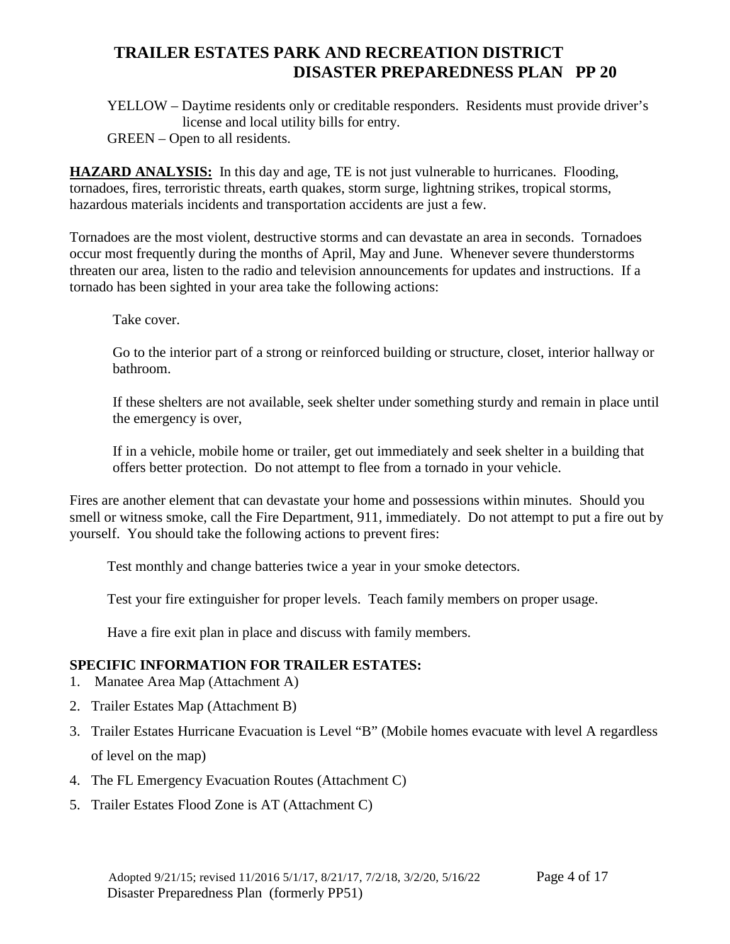YELLOW – Daytime residents only or creditable responders. Residents must provide driver's license and local utility bills for entry.

GREEN – Open to all residents.

**HAZARD ANALYSIS:** In this day and age, TE is not just vulnerable to hurricanes. Flooding, tornadoes, fires, terroristic threats, earth quakes, storm surge, lightning strikes, tropical storms, hazardous materials incidents and transportation accidents are just a few.

Tornadoes are the most violent, destructive storms and can devastate an area in seconds. Tornadoes occur most frequently during the months of April, May and June. Whenever severe thunderstorms threaten our area, listen to the radio and television announcements for updates and instructions. If a tornado has been sighted in your area take the following actions:

Take cover.

Go to the interior part of a strong or reinforced building or structure, closet, interior hallway or bathroom.

If these shelters are not available, seek shelter under something sturdy and remain in place until the emergency is over,

If in a vehicle, mobile home or trailer, get out immediately and seek shelter in a building that offers better protection. Do not attempt to flee from a tornado in your vehicle.

Fires are another element that can devastate your home and possessions within minutes. Should you smell or witness smoke, call the Fire Department, 911, immediately. Do not attempt to put a fire out by yourself. You should take the following actions to prevent fires:

Test monthly and change batteries twice a year in your smoke detectors.

Test your fire extinguisher for proper levels. Teach family members on proper usage.

Have a fire exit plan in place and discuss with family members.

#### **SPECIFIC INFORMATION FOR TRAILER ESTATES:**

- 1. Manatee Area Map (Attachment A)
- 2. Trailer Estates Map (Attachment B)
- 3. Trailer Estates Hurricane Evacuation is Level "B" (Mobile homes evacuate with level A regardless of level on the map)
- 4. The FL Emergency Evacuation Routes (Attachment C)
- 5. Trailer Estates Flood Zone is AT (Attachment C)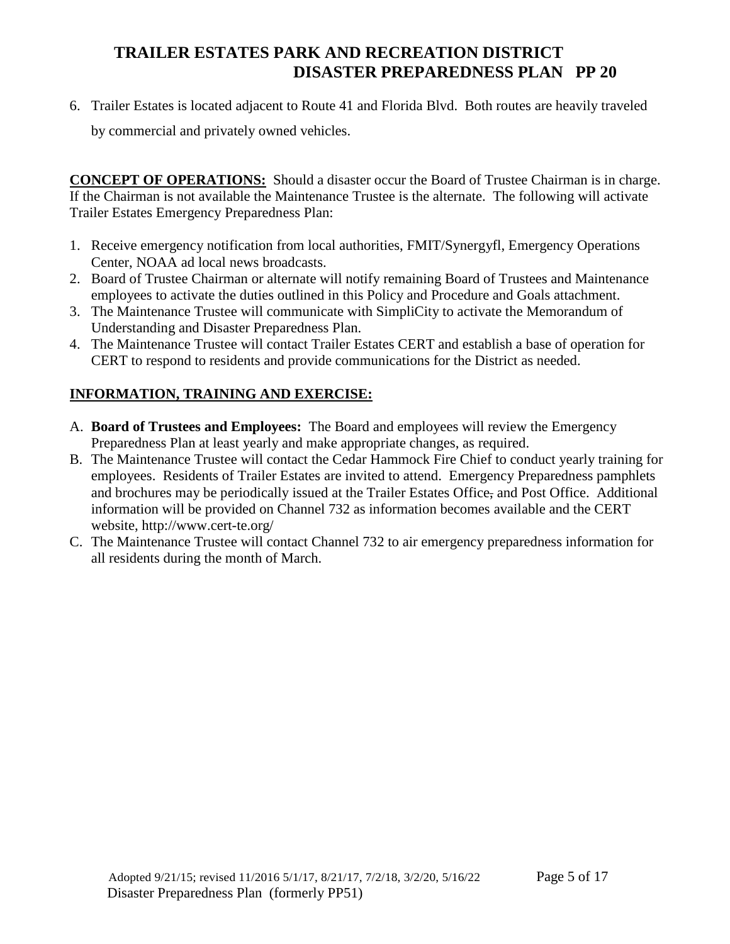6. Trailer Estates is located adjacent to Route 41 and Florida Blvd. Both routes are heavily traveled

by commercial and privately owned vehicles.

**CONCEPT OF OPERATIONS:** Should a disaster occur the Board of Trustee Chairman is in charge. If the Chairman is not available the Maintenance Trustee is the alternate. The following will activate Trailer Estates Emergency Preparedness Plan:

- 1. Receive emergency notification from local authorities, FMIT/Synergyfl, Emergency Operations Center, NOAA ad local news broadcasts.
- 2. Board of Trustee Chairman or alternate will notify remaining Board of Trustees and Maintenance employees to activate the duties outlined in this Policy and Procedure and Goals attachment.
- 3. The Maintenance Trustee will communicate with SimpliCity to activate the Memorandum of Understanding and Disaster Preparedness Plan.
- 4. The Maintenance Trustee will contact Trailer Estates CERT and establish a base of operation for CERT to respond to residents and provide communications for the District as needed.

#### **INFORMATION, TRAINING AND EXERCISE:**

- A. **Board of Trustees and Employees:** The Board and employees will review the Emergency Preparedness Plan at least yearly and make appropriate changes, as required.
- B. The Maintenance Trustee will contact the Cedar Hammock Fire Chief to conduct yearly training for employees. Residents of Trailer Estates are invited to attend. Emergency Preparedness pamphlets and brochures may be periodically issued at the Trailer Estates Office, and Post Office. Additional information will be provided on Channel 732 as information becomes available and the CERT website, http://www.cert-te.org/
- C. The Maintenance Trustee will contact Channel 732 to air emergency preparedness information for all residents during the month of March.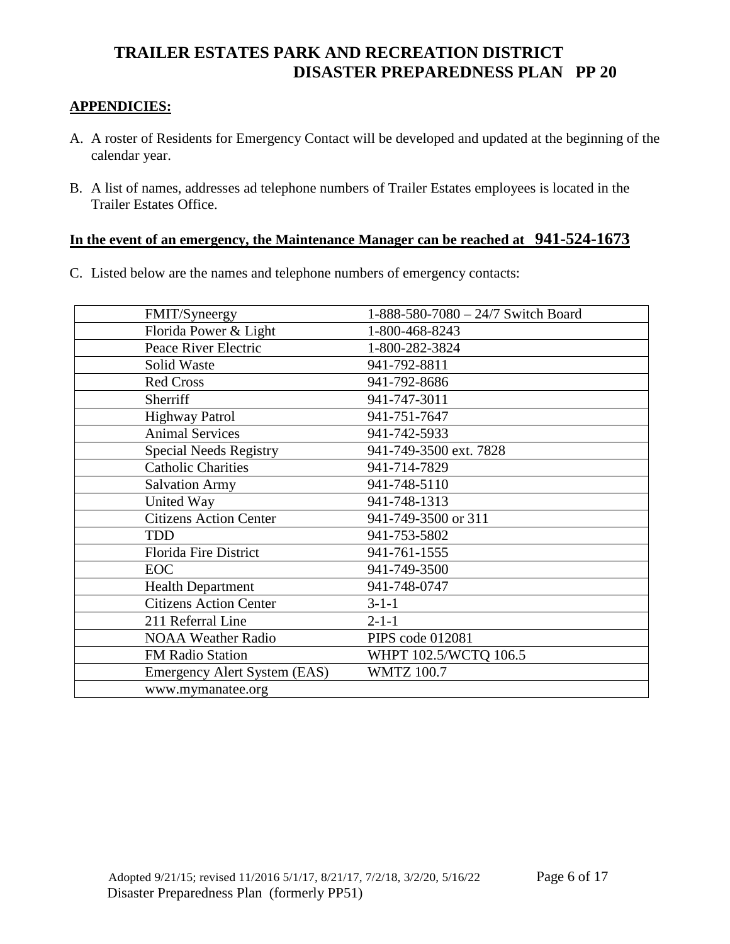#### **APPENDICIES:**

- A. A roster of Residents for Emergency Contact will be developed and updated at the beginning of the calendar year.
- B. A list of names, addresses ad telephone numbers of Trailer Estates employees is located in the Trailer Estates Office.

#### **In the event of an emergency, the Maintenance Manager can be reached at 941-524-1673**

C. Listed below are the names and telephone numbers of emergency contacts:

| FMIT/Syneergy                       | 1-888-580-7080 - 24/7 Switch Board |
|-------------------------------------|------------------------------------|
| Florida Power & Light               | 1-800-468-8243                     |
| Peace River Electric                | 1-800-282-3824                     |
| Solid Waste                         | 941-792-8811                       |
| <b>Red Cross</b>                    | 941-792-8686                       |
| Sherriff                            | 941-747-3011                       |
| <b>Highway Patrol</b>               | 941-751-7647                       |
| <b>Animal Services</b>              | 941-742-5933                       |
| <b>Special Needs Registry</b>       | 941-749-3500 ext. 7828             |
| <b>Catholic Charities</b>           | 941-714-7829                       |
| <b>Salvation Army</b>               | 941-748-5110                       |
| United Way                          | 941-748-1313                       |
| <b>Citizens Action Center</b>       | 941-749-3500 or 311                |
| <b>TDD</b>                          | 941-753-5802                       |
| Florida Fire District               | 941-761-1555                       |
| <b>EOC</b>                          | 941-749-3500                       |
| <b>Health Department</b>            | 941-748-0747                       |
| <b>Citizens Action Center</b>       | $3-1-1$                            |
| 211 Referral Line                   | $2 - 1 - 1$                        |
| <b>NOAA Weather Radio</b>           | PIPS code 012081                   |
| <b>FM Radio Station</b>             | WHPT 102.5/WCTQ 106.5              |
| <b>Emergency Alert System (EAS)</b> | <b>WMTZ 100.7</b>                  |
| www.mymanatee.org                   |                                    |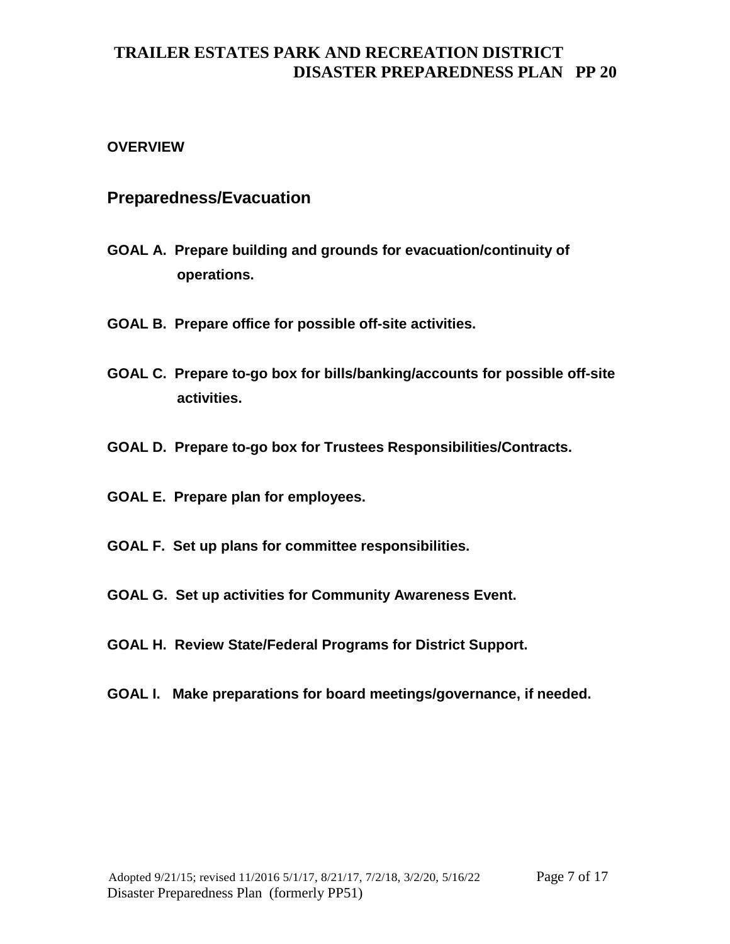#### **OVERVIEW**

#### **Preparedness/Evacuation**

- **GOAL A. Prepare building and grounds for evacuation/continuity of operations.**
- **GOAL B. Prepare office for possible off-site activities.**
- **GOAL C. Prepare to-go box for bills/banking/accounts for possible off-site activities.**
- **GOAL D. Prepare to-go box for Trustees Responsibilities/Contracts.**
- **GOAL E. Prepare plan for employees.**
- **GOAL F. Set up plans for committee responsibilities.**
- **GOAL G. Set up activities for Community Awareness Event.**
- **GOAL H. Review State/Federal Programs for District Support.**
- **GOAL I. Make preparations for board meetings/governance, if needed.**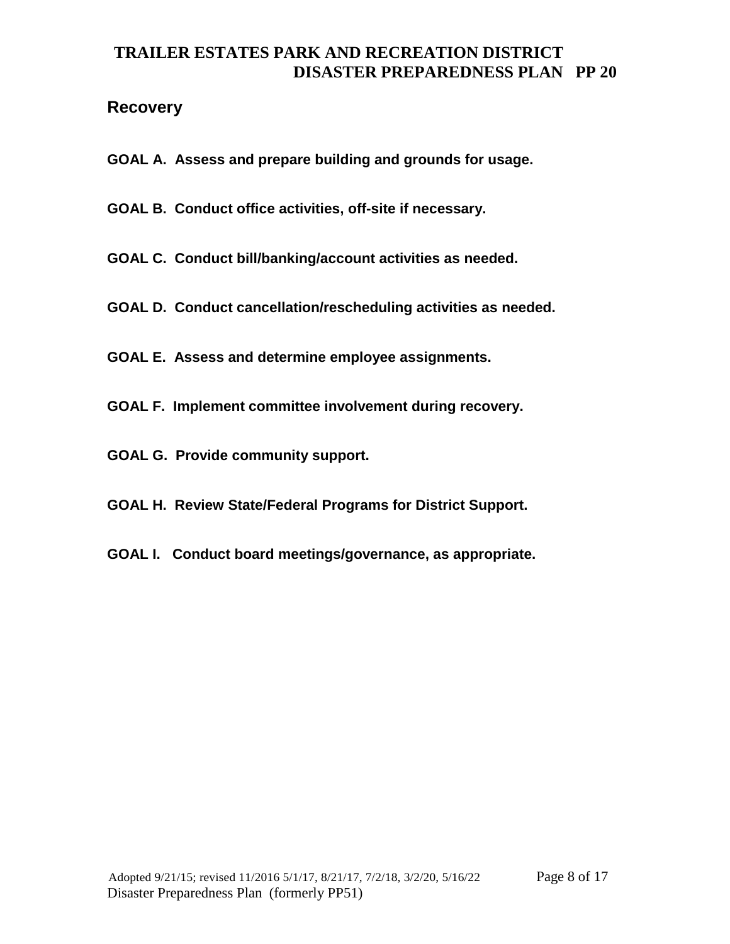#### **Recovery**

- **GOAL A. Assess and prepare building and grounds for usage.**
- **GOAL B. Conduct office activities, off-site if necessary.**
- **GOAL C. Conduct bill/banking/account activities as needed.**
- **GOAL D. Conduct cancellation/rescheduling activities as needed.**
- **GOAL E. Assess and determine employee assignments.**
- **GOAL F. Implement committee involvement during recovery.**
- **GOAL G. Provide community support.**
- **GOAL H. Review State/Federal Programs for District Support.**
- **GOAL I. Conduct board meetings/governance, as appropriate.**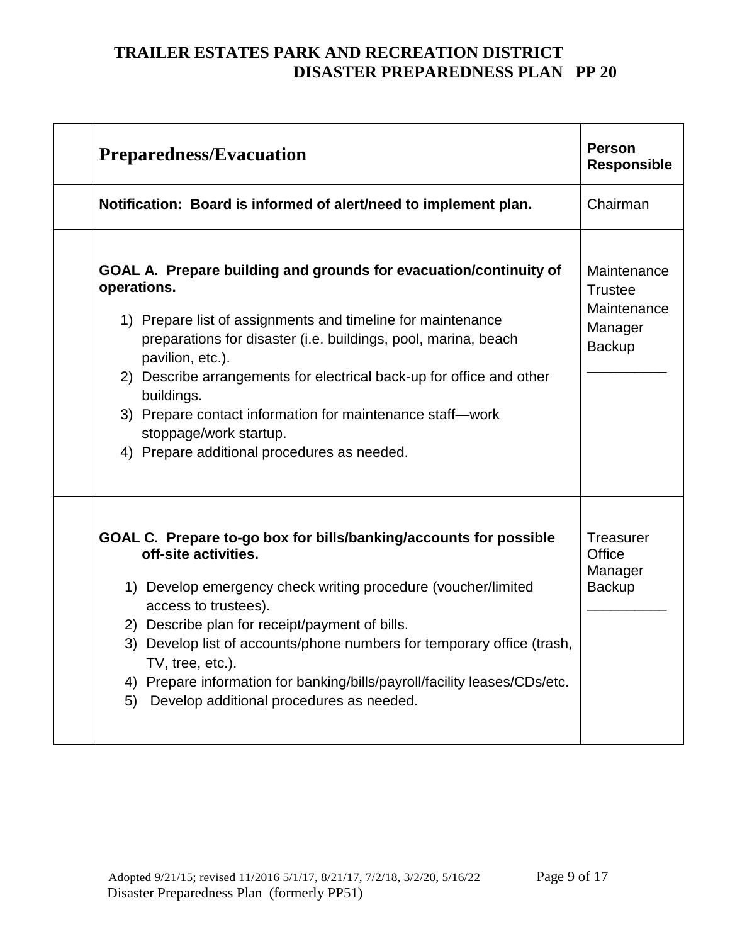| Preparedness/Evacuation                                                                                                                                                                                                                                                                                                                                                                                                                                           | <b>Person</b><br><b>Responsible</b>                                      |
|-------------------------------------------------------------------------------------------------------------------------------------------------------------------------------------------------------------------------------------------------------------------------------------------------------------------------------------------------------------------------------------------------------------------------------------------------------------------|--------------------------------------------------------------------------|
| Notification: Board is informed of alert/need to implement plan.                                                                                                                                                                                                                                                                                                                                                                                                  | Chairman                                                                 |
| GOAL A. Prepare building and grounds for evacuation/continuity of<br>operations.<br>1) Prepare list of assignments and timeline for maintenance<br>preparations for disaster (i.e. buildings, pool, marina, beach<br>pavilion, etc.).<br>2) Describe arrangements for electrical back-up for office and other<br>buildings.<br>3) Prepare contact information for maintenance staff-work<br>stoppage/work startup.<br>4) Prepare additional procedures as needed. | Maintenance<br><b>Trustee</b><br>Maintenance<br>Manager<br><b>Backup</b> |
| GOAL C. Prepare to-go box for bills/banking/accounts for possible<br>off-site activities.<br>1) Develop emergency check writing procedure (voucher/limited<br>access to trustees).<br>2) Describe plan for receipt/payment of bills.<br>3) Develop list of accounts/phone numbers for temporary office (trash,<br>TV, tree, etc.).<br>4) Prepare information for banking/bills/payroll/facility leases/CDs/etc.<br>5) Develop additional procedures as needed.    | <b>Treasurer</b><br>Office<br>Manager<br><b>Backup</b>                   |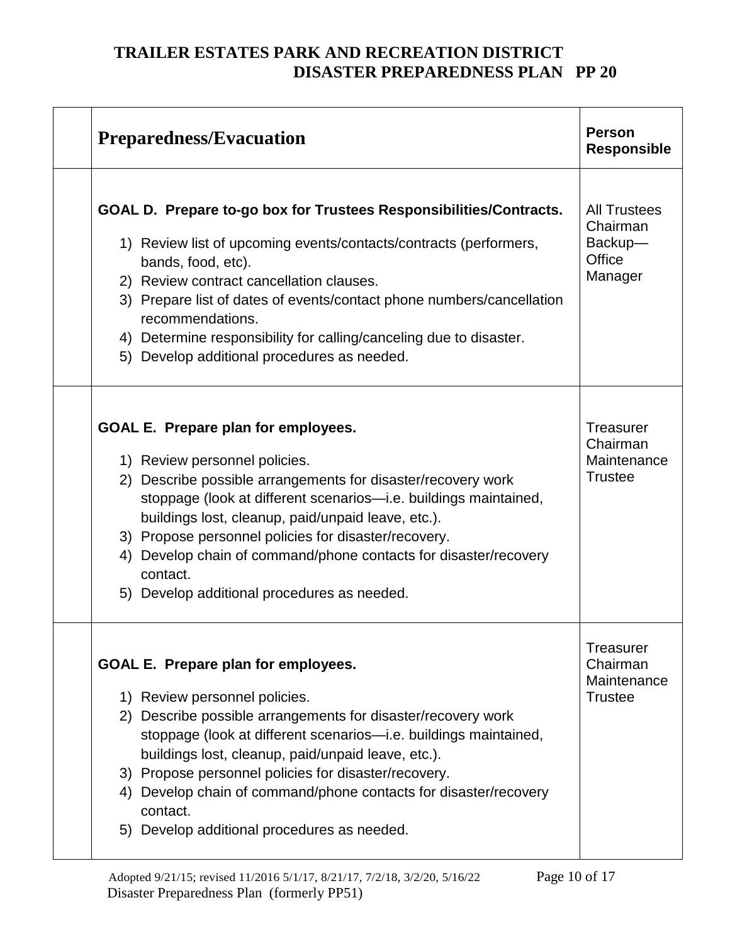| <b>Preparedness/Evacuation</b>                                                                                                                                                                                                                                                                                                                                                                                                                        | <b>Person</b><br><b>Responsible</b>                             |
|-------------------------------------------------------------------------------------------------------------------------------------------------------------------------------------------------------------------------------------------------------------------------------------------------------------------------------------------------------------------------------------------------------------------------------------------------------|-----------------------------------------------------------------|
| GOAL D. Prepare to-go box for Trustees Responsibilities/Contracts.<br>1) Review list of upcoming events/contacts/contracts (performers,<br>bands, food, etc).<br>2) Review contract cancellation clauses.<br>3) Prepare list of dates of events/contact phone numbers/cancellation<br>recommendations.<br>4) Determine responsibility for calling/canceling due to disaster.<br>5) Develop additional procedures as needed.                           | <b>All Trustees</b><br>Chairman<br>Backup-<br>Office<br>Manager |
| GOAL E. Prepare plan for employees.<br>1) Review personnel policies.<br>2) Describe possible arrangements for disaster/recovery work<br>stoppage (look at different scenarios-i.e. buildings maintained,<br>buildings lost, cleanup, paid/unpaid leave, etc.).<br>3) Propose personnel policies for disaster/recovery.<br>4) Develop chain of command/phone contacts for disaster/recovery<br>contact.<br>5) Develop additional procedures as needed. | <b>Treasurer</b><br>Chairman<br>Maintenance<br><b>Trustee</b>   |
| GOAL E. Prepare plan for employees.<br>1) Review personnel policies.<br>2) Describe possible arrangements for disaster/recovery work<br>stoppage (look at different scenarios-i.e. buildings maintained,<br>buildings lost, cleanup, paid/unpaid leave, etc.).<br>3) Propose personnel policies for disaster/recovery.<br>4) Develop chain of command/phone contacts for disaster/recovery<br>contact.<br>5) Develop additional procedures as needed. | Treasurer<br>Chairman<br>Maintenance<br><b>Trustee</b>          |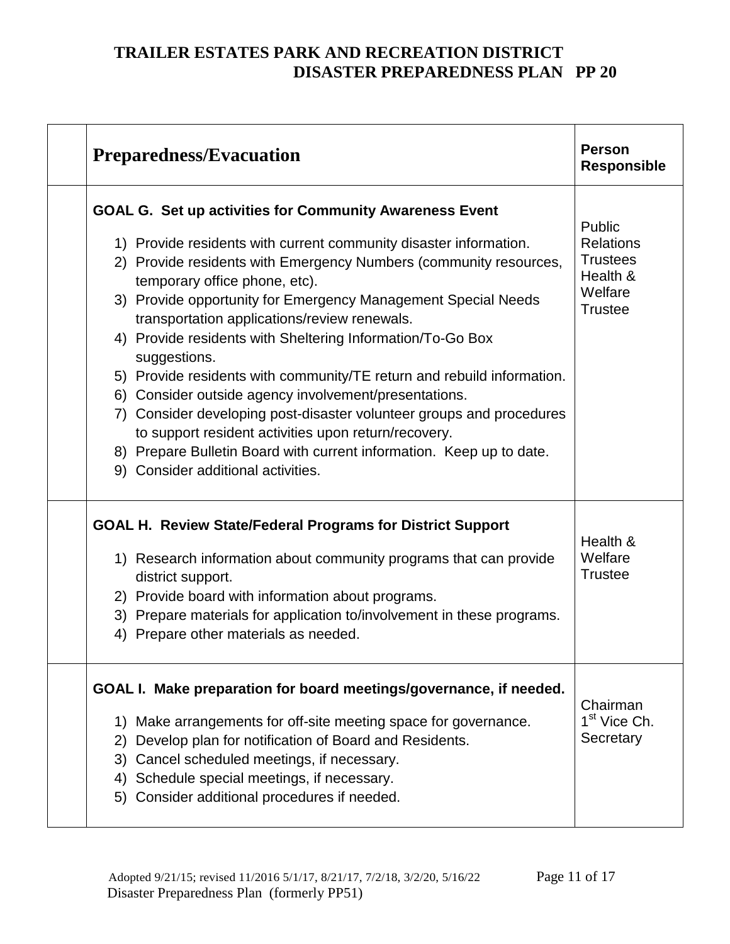| <b>Preparedness/Evacuation</b>                                                                                                                                                                                                                                                                                                                                                                                                                                                                                                                                                                                                                                                                                                                                                                                            | <b>Person</b><br><b>Responsible</b>                                                    |
|---------------------------------------------------------------------------------------------------------------------------------------------------------------------------------------------------------------------------------------------------------------------------------------------------------------------------------------------------------------------------------------------------------------------------------------------------------------------------------------------------------------------------------------------------------------------------------------------------------------------------------------------------------------------------------------------------------------------------------------------------------------------------------------------------------------------------|----------------------------------------------------------------------------------------|
| <b>GOAL G. Set up activities for Community Awareness Event</b><br>1) Provide residents with current community disaster information.<br>2) Provide residents with Emergency Numbers (community resources,<br>temporary office phone, etc).<br>3) Provide opportunity for Emergency Management Special Needs<br>transportation applications/review renewals.<br>4) Provide residents with Sheltering Information/To-Go Box<br>suggestions.<br>5) Provide residents with community/TE return and rebuild information.<br>6) Consider outside agency involvement/presentations.<br>7) Consider developing post-disaster volunteer groups and procedures<br>to support resident activities upon return/recovery.<br>8) Prepare Bulletin Board with current information. Keep up to date.<br>9) Consider additional activities. | Public<br><b>Relations</b><br><b>Trustees</b><br>Health &<br>Welfare<br><b>Trustee</b> |
| <b>GOAL H. Review State/Federal Programs for District Support</b><br>1) Research information about community programs that can provide<br>district support.<br>2) Provide board with information about programs.<br>3) Prepare materials for application to/involvement in these programs.<br>Prepare other materials as needed.<br>4)                                                                                                                                                                                                                                                                                                                                                                                                                                                                                    | Health &<br>Welfare<br><b>Trustee</b>                                                  |
| GOAL I. Make preparation for board meetings/governance, if needed.<br>Make arrangements for off-site meeting space for governance.<br>1)<br>Develop plan for notification of Board and Residents.<br>$\mathbf{2}$<br>3) Cancel scheduled meetings, if necessary.<br>Schedule special meetings, if necessary.<br>4)<br>Consider additional procedures if needed.<br>5)                                                                                                                                                                                                                                                                                                                                                                                                                                                     | Chairman<br>1 <sup>st</sup> Vice Ch.<br>Secretary                                      |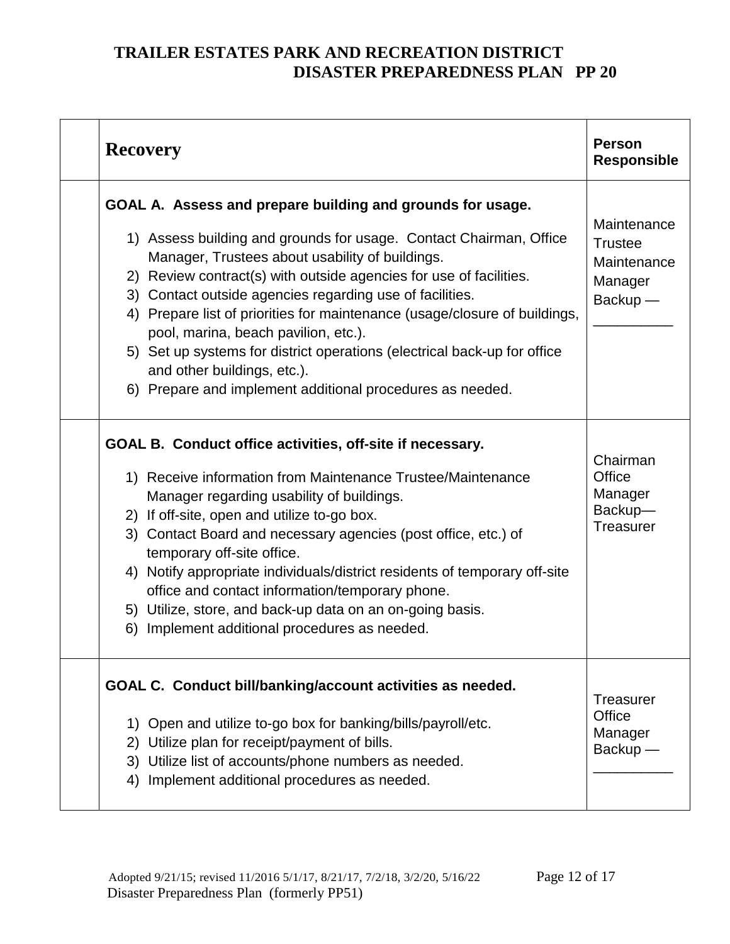| <b>Recovery</b>                                                                                                                                                                                                                                                                                                                                                                                                                                                                                                                                                                                                     | <b>Person</b><br><b>Responsible</b>                                     |
|---------------------------------------------------------------------------------------------------------------------------------------------------------------------------------------------------------------------------------------------------------------------------------------------------------------------------------------------------------------------------------------------------------------------------------------------------------------------------------------------------------------------------------------------------------------------------------------------------------------------|-------------------------------------------------------------------------|
| GOAL A. Assess and prepare building and grounds for usage.<br>1) Assess building and grounds for usage. Contact Chairman, Office<br>Manager, Trustees about usability of buildings.<br>2) Review contract(s) with outside agencies for use of facilities.<br>3) Contact outside agencies regarding use of facilities.<br>4) Prepare list of priorities for maintenance (usage/closure of buildings,<br>pool, marina, beach pavilion, etc.).<br>5) Set up systems for district operations (electrical back-up for office<br>and other buildings, etc.).<br>6) Prepare and implement additional procedures as needed. | Maintenance<br><b>Trustee</b><br>Maintenance<br>Manager<br>$Backup$ $-$ |
| GOAL B. Conduct office activities, off-site if necessary.<br>1) Receive information from Maintenance Trustee/Maintenance<br>Manager regarding usability of buildings.<br>2) If off-site, open and utilize to-go box.<br>3) Contact Board and necessary agencies (post office, etc.) of<br>temporary off-site office.<br>4) Notify appropriate individuals/district residents of temporary off-site<br>office and contact information/temporary phone.<br>5) Utilize, store, and back-up data on an on-going basis.<br>6)<br>Implement additional procedures as needed.                                              | Chairman<br>Office<br>Manager<br>Backup-<br>Treasurer                   |
| GOAL C. Conduct bill/banking/account activities as needed.<br>1) Open and utilize to-go box for banking/bills/payroll/etc.<br>2) Utilize plan for receipt/payment of bills.<br>3) Utilize list of accounts/phone numbers as needed.<br>4) Implement additional procedures as needed.                                                                                                                                                                                                                                                                                                                                | <b>Treasurer</b><br>Office<br>Manager<br>$Backup$ —                     |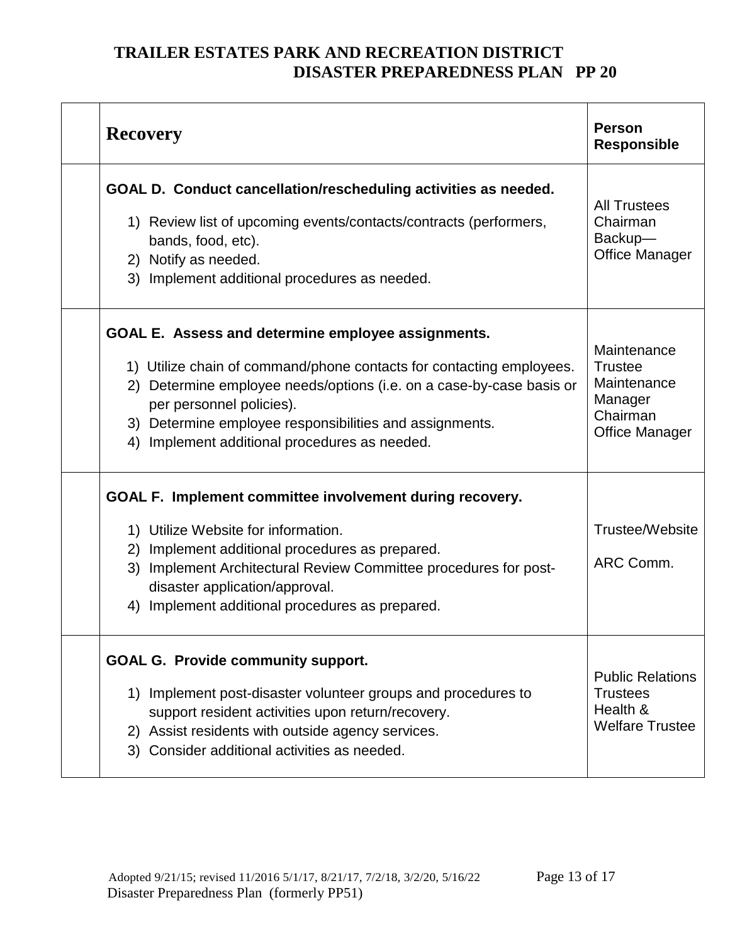| <b>Recovery</b>                                                                                                                                                                                                                                                                                                                               | <b>Person</b><br><b>Responsible</b>                                                          |
|-----------------------------------------------------------------------------------------------------------------------------------------------------------------------------------------------------------------------------------------------------------------------------------------------------------------------------------------------|----------------------------------------------------------------------------------------------|
| GOAL D. Conduct cancellation/rescheduling activities as needed.<br>1) Review list of upcoming events/contacts/contracts (performers,<br>bands, food, etc).<br>2) Notify as needed.<br>3) Implement additional procedures as needed.                                                                                                           | <b>All Trustees</b><br>Chairman<br>Backup-<br><b>Office Manager</b>                          |
| GOAL E. Assess and determine employee assignments.<br>1) Utilize chain of command/phone contacts for contacting employees.<br>2) Determine employee needs/options (i.e. on a case-by-case basis or<br>per personnel policies).<br>3) Determine employee responsibilities and assignments.<br>Implement additional procedures as needed.<br>4) | Maintenance<br><b>Trustee</b><br>Maintenance<br>Manager<br>Chairman<br><b>Office Manager</b> |
| GOAL F. Implement committee involvement during recovery.<br>1) Utilize Website for information.<br>Implement additional procedures as prepared.<br>(2)<br>3) Implement Architectural Review Committee procedures for post-<br>disaster application/approval.<br>4) Implement additional procedures as prepared.                               | Trustee/Website<br>ARC Comm.                                                                 |
| <b>GOAL G. Provide community support.</b><br>1) Implement post-disaster volunteer groups and procedures to<br>support resident activities upon return/recovery.<br>2) Assist residents with outside agency services.<br>3) Consider additional activities as needed.                                                                          | <b>Public Relations</b><br><b>Trustees</b><br>Health &<br><b>Welfare Trustee</b>             |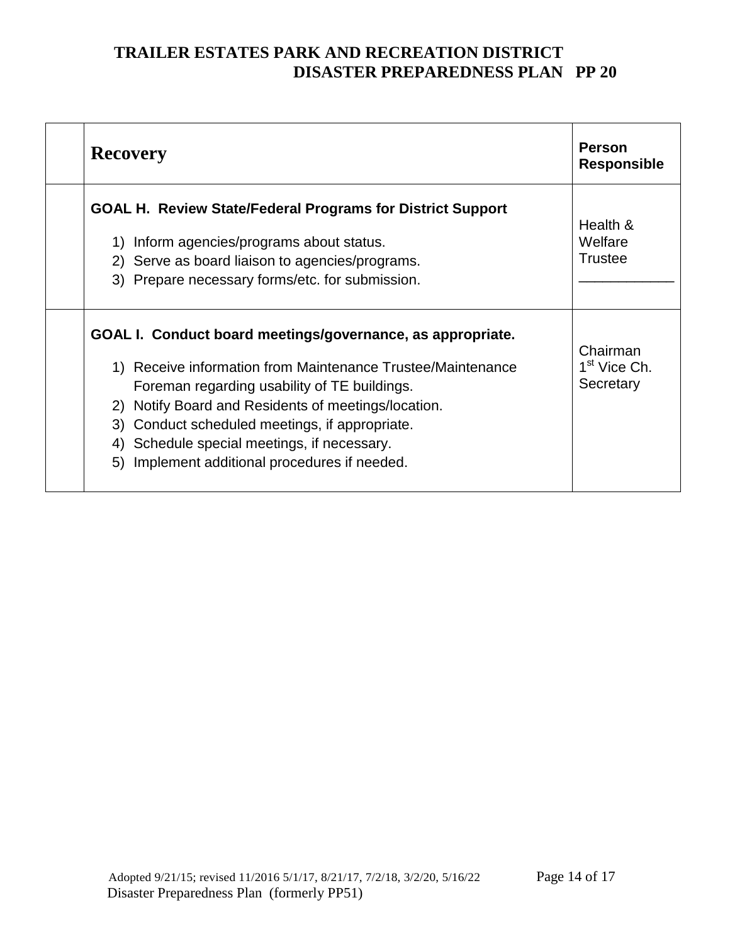| <b>Recovery</b>                                                                                                                                                                                                                                                                                                                                                                             | <b>Person</b><br><b>Responsible</b>               |
|---------------------------------------------------------------------------------------------------------------------------------------------------------------------------------------------------------------------------------------------------------------------------------------------------------------------------------------------------------------------------------------------|---------------------------------------------------|
| <b>GOAL H. Review State/Federal Programs for District Support</b><br>Inform agencies/programs about status.<br>1)<br>2) Serve as board liaison to agencies/programs.<br>3) Prepare necessary forms/etc. for submission.                                                                                                                                                                     | Health &<br>Welfare<br><b>Trustee</b>             |
| GOAL I. Conduct board meetings/governance, as appropriate.<br>1) Receive information from Maintenance Trustee/Maintenance<br>Foreman regarding usability of TE buildings.<br>Notify Board and Residents of meetings/location.<br>2)<br>Conduct scheduled meetings, if appropriate.<br>3)<br>4) Schedule special meetings, if necessary.<br>Implement additional procedures if needed.<br>5) | Chairman<br>1 <sup>st</sup> Vice Ch.<br>Secretary |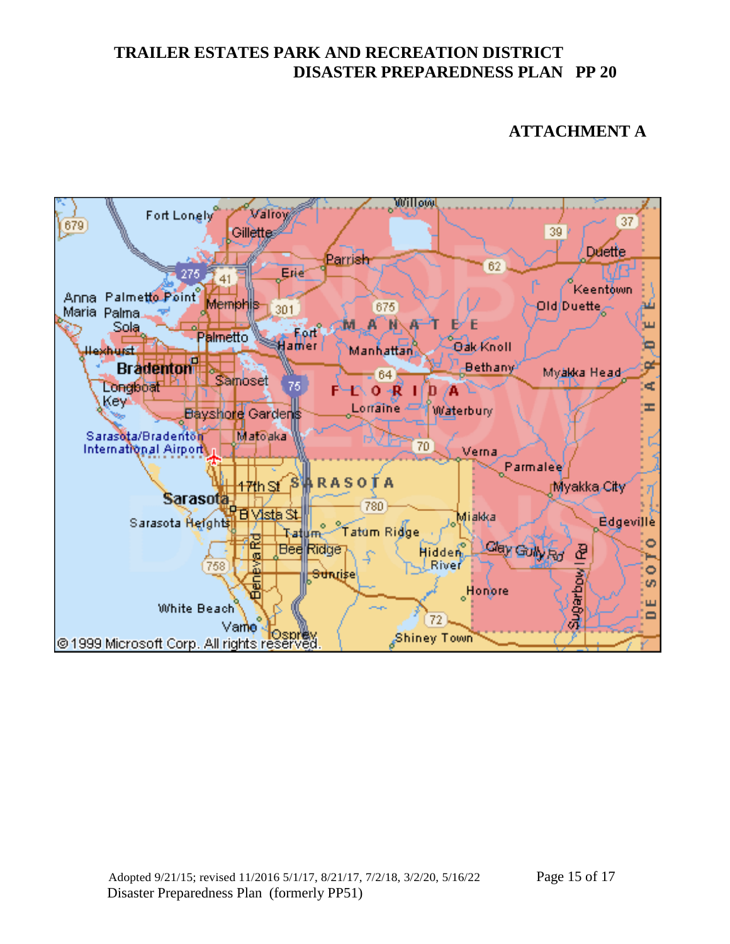#### **ATTACHMENT A**

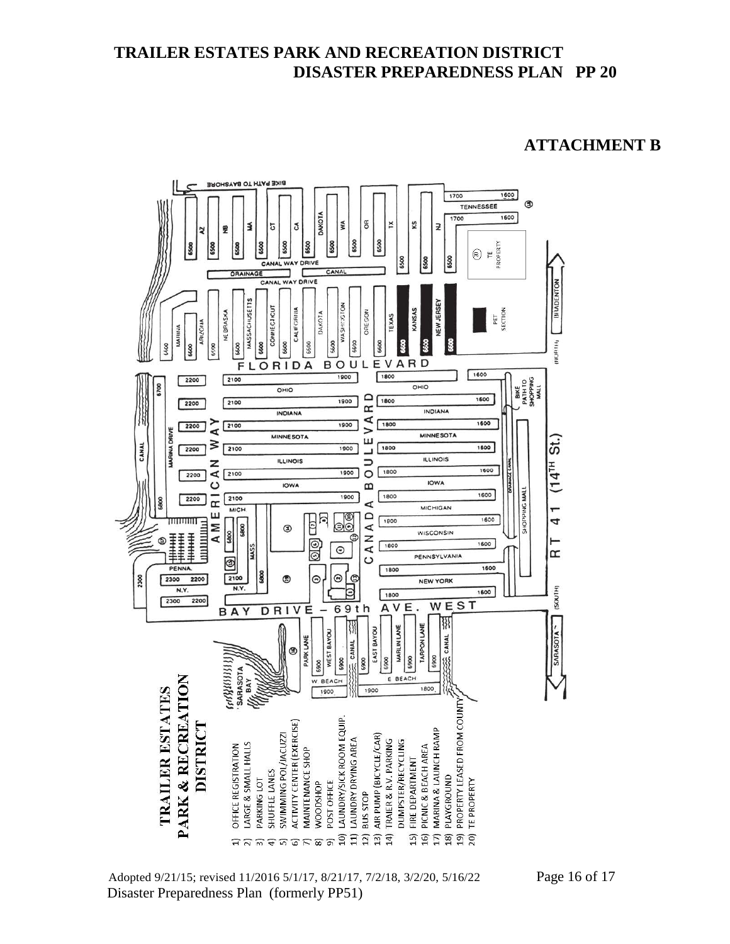#### **ATTACHMENT B**



Adopted 9/21/15; revised 11/2016 5/1/17, 8/21/17, 7/2/18, 3/2/20, 5/16/22 Page 16 of 17 Disaster Preparedness Plan (formerly PP51)